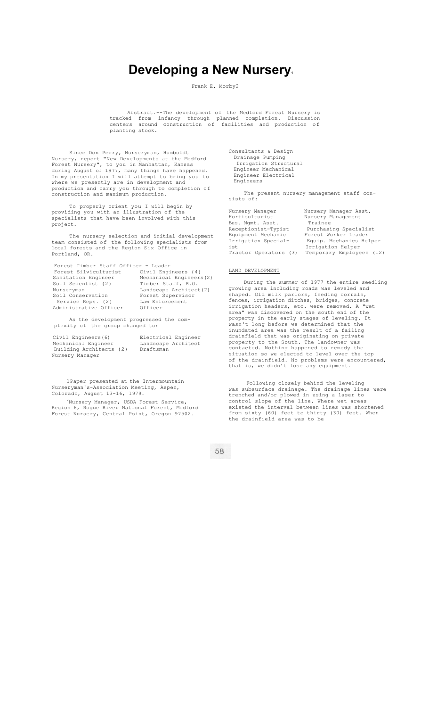# **Developing a New Nursery.**

Frank E. Morby2

Abstract.--The development of the Medford Forest Nursery is tracked from infancy through planned completion. Discussion centers around construction of facilities and production of planting stock.

Since Don Perry, Nurseryman, Humboldt Nursery, report "New Developments at the Medford Forest Nursery", to you in Manhattan, Kansas during August of 1977, many things have happened. In my presentation I will attempt to bring you to where we presently are in development and production and carry you through to completion of construction and maximum production.

To properly orient you I will begin by providing you with an illustration of the specialists that have been involved with this project.

The nursery selection and initial development team consisted of the following specialists from local forests and the Region Six Office in Portland, OR.

Forest Timber Staff Officer - Leader

| Forest Silviculturist  | Civil Engineers (4)      |
|------------------------|--------------------------|
| Sanitation Engineer    | Mechanical Engineers (2) |
| Soil Scientist (2)     | Timber Staff, R.O.       |
| Nurseryman             | Landscape Architect (2)  |
| Soil Conservation      | Forest Supervisor        |
| Service Reps. (2)      | Law Enforcement          |
| Administrative Officer | Officer                  |
|                        |                          |

As the development progressed the complexity of the group changed to:

Civil Engineers(6) Electrical Engineer Mechanical Engineer Landscape Architect Building Architects (2) Draftsman Nursery Manager

1Paper presented at the Intermountain Nurseryman's-Association Meeting, Aspen, Colorado, August 13-16, 1979.

<sup>2</sup>Nursery Manager, USDA Forest Service, Region 6, Rogue River National Forest, Medford Forest Nursery, Central Point, Oregon 97502.

Consultants & Design Drainage Pumping Irrigation Structural Engineer Mechanical Engineer Electrical Engineers

The present nursery management staff consists of:

| Nursery Manager       | Nursery Manager Asst.    |
|-----------------------|--------------------------|
| Horticulturist        | Nursery Management       |
| Bus. Mgmt. Asst.      | Trainee                  |
| Receptionist-Typist   | Purchasing Specialist    |
| Equipment Mechanic    | Forest Worker Leader     |
| Irrigation Special-   | Equip. Mechanics Helper  |
| ist                   | Irrigation Helper        |
| Tractor Operators (3) | Temporary Employees (12) |
|                       |                          |

# LAND DEVELOPMENT

During the summer of 1977 the entire seedling growing area including roads was leveled and shaped. Old milk parlors, feeding corrals, fences, irrigation ditches, bridges, concrete irrigation headers, etc. were removed. A "wet area" was discovered on the south end of the property in the early stages of leveling. It wasn't long before we determined that the inundated area was the result of a failing drainfield that was originating on private property to the South. The landowner was contacted. Nothing happened to remedy the situation so we elected to level over the top of the drainfield. No problems were encountered, that is, we didn't lose any equipment.

Following closely behind the leveling was subsurface drainage. The drainage lines were trenched and/or plowed in using a laser to control slope of the line. Where wet areas existed the interval between lines was shortened from sixty (60) feet to thirty (30) feet. When the drainfield area was to be

58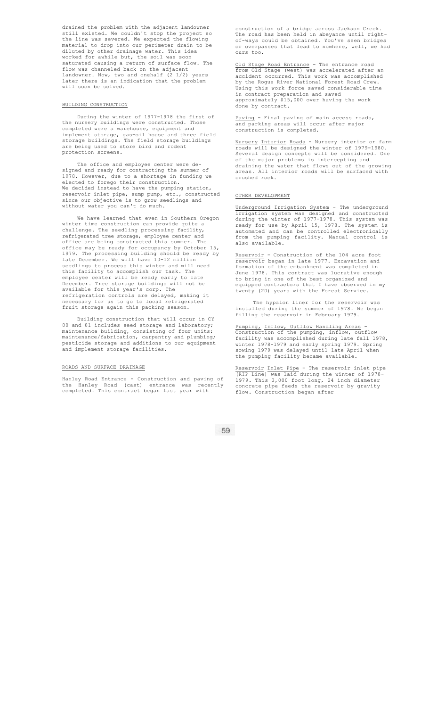drained the problem with the adjacent landowner still existed. We couldn't stop the project so the line was severed. We expected the flowing material to drop into our perimeter drain to be diluted by other drainage water. This idea worked for awhile but, the soil was soon saturated causing a return of surface flow. The flow was channeled back on the adjacent landowner. Now, two and onehalf (2 1/2) years later there is an indication that the problem will soon be solved.

#### BUILDING CONSTRUCTION

During the winter of 1977-1978 the first of the nursery buildings were constructed. Those completed were a warehouse, equipment and implement storage, gas-oil house and three field storage buildings. The field storage buildings are being used to store bird and rodent protection screens.

The office and employee center were designed and ready for contracting the summer of 1978. However, due to a shortage in funding we elected to forego their construction. decided instead to have the pumping station, reservoir inlet pipe, sump pump, etc., constructed since our objective is to grow seedlings and without water you can't do much.

We have learned that even in Southern Oregon winter time construction can provide quite a challenge. The seedling processing facility, refrigerated tree storage, employee center and office are being constructed this summer. The office may be ready for occupancy by October 15, 1979. The processing building should be ready by late December. We will have 10-12 million seedlings to process this winter and will need this facility to accomplish our task. The employee center will be ready early to late December. Tree storage buildings will not be available for this year's corp. The refrigeration controls are delayed, making it necessary for us to go to local refrigerated fruit storage again this packing season.

Building construction that will occur in CY 80 and 81 includes seed storage and laboratory; maintenance building, consisting of four units: maintenance/fabrication, carpentry and plumbing; pesticide storage and additions to our equipment and implement storage facilities.

### ROADS AND SURFACE DRAINAGE

Hanley Road Entrance - Construction and paving of the Hanley Road (cast) entrance was recently completed. This contract began last year with

construction of a bridge across Jackson Creek. The road has been held in abeyance until rightof-ways could be obtained. You've seen bridges or overpasses that lead to nowhere, well, we had ours too.

Old Stage Road Entrance - The entrance road from Old Stage (west) was accelerated after an accident occurred. This work was accomplished by the Rogue River National Forest Road Crew. Using this work force saved considerable time contract preparation and saved approximately \$15,000 over having the work done by contract.

Paving - Final paving of main access roads, and parking areas will occur after major construction is completed.

Nursery Interior Roads - Nursery interior or farm roads will be designed the winter of 1979-1980. Several design concepts will be considered. One of the major problems is intercepting and draining the water that flows out of the growing areas. All interior roads will be surfaced with crushed rock.

## OTHER DEVELOPMENT

Underground Irrigation System - The underground irrigation system was designed and constructed during the winter of 1977-1978. This system was ready for use by April 15, 1978. The system is automated and can be controlled electronically from the pumping facility. Manual control is also available.

Reservoir - Construction of the 104 acre foot reservoir began in late 1977. Excavation and formation of the embankment was completed in June 1978. This contract was lucrative enough to bring in one of the best organized and equipped contractors that I have observed in my twenty (20) years with the Forest Service.

The hypalon liner for the reservoir was installed during the summer of 1978. We began filling the reservoir in February 1979.

Pumping, Inflow, Outflow Handling Areas - Construction of the pumping, inflow, outflow facility was accomplished during late fall 1978, winter 1978-1979 and early spring 1979. Spring sowing 1979 was delayed until late April when the pumping facility became available.

Reservoir Inlet Pipe - The reservoir inlet pipe (RIP Line) was laid during the winter of 1978- 1979. This 3,000 foot long, 24 inch diameter concrete pipe feeds the reservoir by gravity flow. Construction began after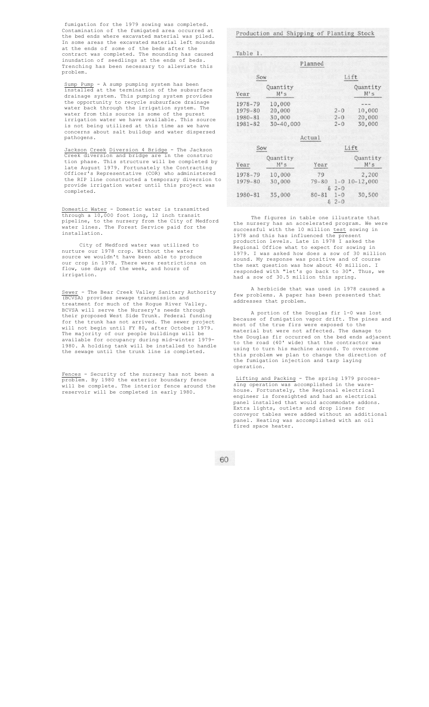fumigation for the 1979 sowing was completed. Contamination of the fumigated area occurred at the bed ends where excavated material was piled.<br>In some areas the excavated material left mounds In some areas the excavated material left at the ends of some of the beds after the contract was completed. The mounding has caused inundation of seedlings at the ends of beds. Trenching has been necessary to alleviate this problem.

Sump Pump - A sump pumping system has been installed at the termination of the subsurface drainage system. This pumping system provides the opportunity to recycle subsurface drainage<br>water back through the irrigation system. The back through the irrigation system. The water from this source is some of the purest irrigation water we have available. This source is not being utilized at this time as we have concerns about salt buildup and water dispersed pathogens.

Jackson Creek Diversion 4 Bridge - The Jackson Creek diversion and bridge are in the construc tion phase. This structure will be completed by late August 1979. Fortunately the Contracting Officer's Representative (COR) who administered the RIP line constructed a temporary diversion to provide irrigation water until this project was completed.

Domestic Water - Domestic water is transmitted through a 10,000 foot long, 12 inch transit pipeline, to the nursery from the City of Medford water lines. The Forest Service paid for the installation.

City of Medford water was utilized to nurture our 1978 crop. Without the water source we wouldn't have been able to produce our crop in 1978. There were restrictions on flow, use days of the week, and hours of irrigation.

Sewer - The Bear Creek Valley Sanitary Authority (BCVSA) provides sewage transmission and treatment for much of the Rogue River Valley. BCVSA will serve the Nursery's needs through their proposed West Side Trunk. Federal funding for the trunk has not arrived. The sewer project will not begin until FY 80, after October 1979. The majority of our people buildings will be available for occupancy during mid-winter 1979- 1980. A holding tank will be installed to handle the sewage until the trunk line is completed.

Fences - Security of the nursery has not been a problem. By 1980 the exterior boundary fence will be complete. The interior fence around the reservoir will be completed in early 1980.

Production and Shipping of Planting Stock

|                    |                         | Planned         |                    |                   |
|--------------------|-------------------------|-----------------|--------------------|-------------------|
| Sow                |                         | Lift            |                    |                   |
| Year               | Quantity<br>M's         |                 |                    | Quantity<br>M's   |
| 1978-79<br>1979-80 | 10,000<br>20,000        |                 | $2 - 0$            | 10,000            |
| 1980-81<br>1981-82 | 30,000<br>$30 - 40,000$ |                 | $2 - 0$<br>$2 - 0$ | 20,000<br>30,000  |
|                    |                         | Actual          |                    |                   |
| Sow                |                         |                 |                    | Lift              |
| Year               | Quantity<br>M's         | Year            |                    | Quantity<br>M's   |
| 1978-79            | 10,000                  | 79              |                    | 2,200             |
| 1979-80            | 30,000                  | $79 - 80$       | $& 2 - 0$          | $1 - 0$ 10-12,000 |
| 1980-81            | 35,000                  | $80 - 81$<br>g. | $1 - 0$<br>$2 - 0$ | 30,500            |

The figures in table one illustrate that the nursery has an accelerated program. We were successful with the 10 million test sowing in 1978 and this has influenced the present production levels. Late in 1978 I asked the Regional Office what to expect for sowing in 1979. I was asked how does a sow of 30 million sound. My response was positive and of course the next question was how about 40 million. I responded with "let's go back to 30". Thus, we had a sow of 30.5 million this spring.

A herbicide that was used in 1978 caused a few problems. A paper has been presented that addresses that problem.

A portion of the Douglas fir 1-0 was lost because of fumigation vapor drift. The pines and most of the true firs were exposed to the material but were not affected. The damage to the Douglas fir occurred on the bed ends adjacent to the road (40' wide) that the contractor was using to turn his machine around. To overcome this problem we plan to change the direction of the fumigation injection and tarp laying operation.

Lifting and Packing - The spring 1979 processing operation was accomplished in the warehouse. Fortunately, the Regional electrical engineer is foresighted and had an electrical panel installed that would accommodate addons. Extra lights, outlets and drop lines for conveyor tables were added without an additional panel. Heating was accomplished with an oil .<br>fired space heater.

60